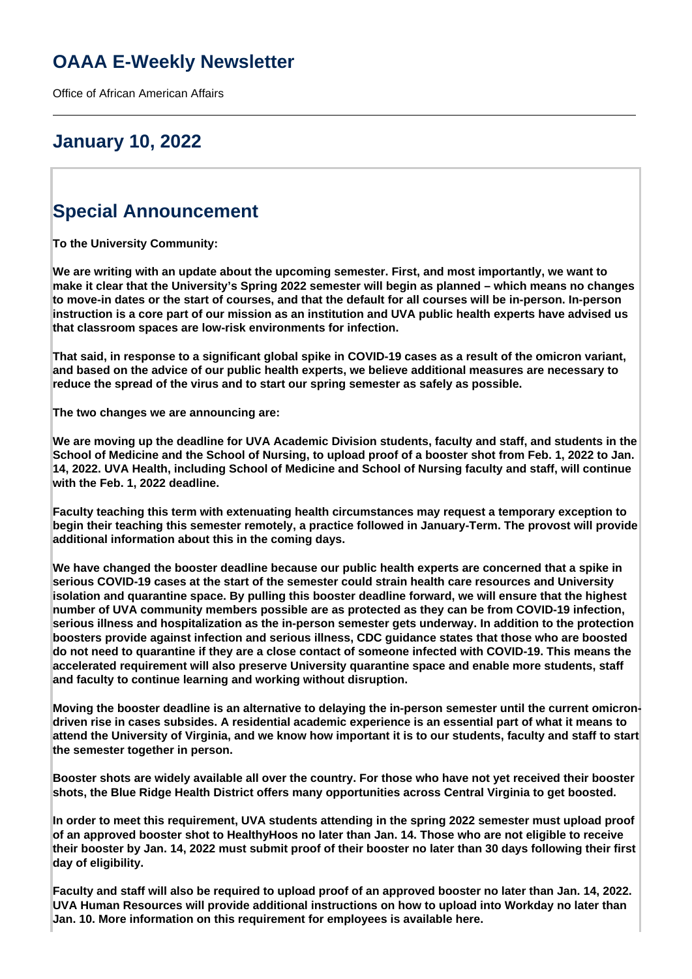# **OAAA E-Weekly Newsletter**

Office of African American Affairs

## **January 10, 2022**

# **Special Announcement**

**To the University Community:**

**We are writing with an update about the upcoming semester. First, and most importantly, we want to make it clear that the University's Spring 2022 semester will begin as planned – which means no changes to move-in dates or the start of courses, and that the default for all courses will be in-person. In-person instruction is a core part of our mission as an institution and UVA public health experts have advised us that classroom spaces are low-risk environments for infection.**

**That said, in response to a significant global spike in COVID-19 cases as a result of the omicron variant, and based on the advice of our public health experts, we believe additional measures are necessary to reduce the spread of the virus and to start our spring semester as safely as possible.**

**The two changes we are announcing are:**

**We are moving up the deadline for UVA Academic Division students, faculty and staff, and students in the School of Medicine and the School of Nursing, to upload proof of a booster shot from Feb. 1, 2022 to Jan. 14, 2022. UVA Health, including School of Medicine and School of Nursing faculty and staff, will continue with the Feb. 1, 2022 deadline.**

**Faculty teaching this term with extenuating health circumstances may request a temporary exception to begin their teaching this semester remotely, a practice followed in January-Term. The provost will provide additional information about this in the coming days.**

**We have changed the booster deadline because our public health experts are concerned that a spike in serious COVID-19 cases at the start of the semester could strain health care resources and University isolation and quarantine space. By pulling this booster deadline forward, we will ensure that the highest number of UVA community members possible are as protected as they can be from COVID-19 infection, serious illness and hospitalization as the in-person semester gets underway. In addition to the protection boosters provide against infection and serious illness, CDC guidance states that those who are boosted do not need to quarantine if they are a close contact of someone infected with COVID-19. This means the accelerated requirement will also preserve University quarantine space and enable more students, staff and faculty to continue learning and working without disruption.**

**Moving the booster deadline is an alternative to delaying the in-person semester until the current omicrondriven rise in cases subsides. A residential academic experience is an essential part of what it means to attend the University of Virginia, and we know how important it is to our students, faculty and staff to start the semester together in person.**

**Booster shots are widely available all over the country. For those who have not yet received their booster shots, the Blue Ridge Health District offers many opportunities across Central Virginia to get boosted.**

**In order to meet this requirement, UVA students attending in the spring 2022 semester must upload proof of an approved booster shot to HealthyHoos no later than Jan. 14. Those who are not eligible to receive their booster by Jan. 14, 2022 must submit proof of their booster no later than 30 days following their first day of eligibility.**

**Faculty and staff will also be required to upload proof of an approved booster no later than Jan. 14, 2022. UVA Human Resources will provide additional instructions on how to upload into Workday no later than Jan. 10. More information on this requirement for employees is available here.**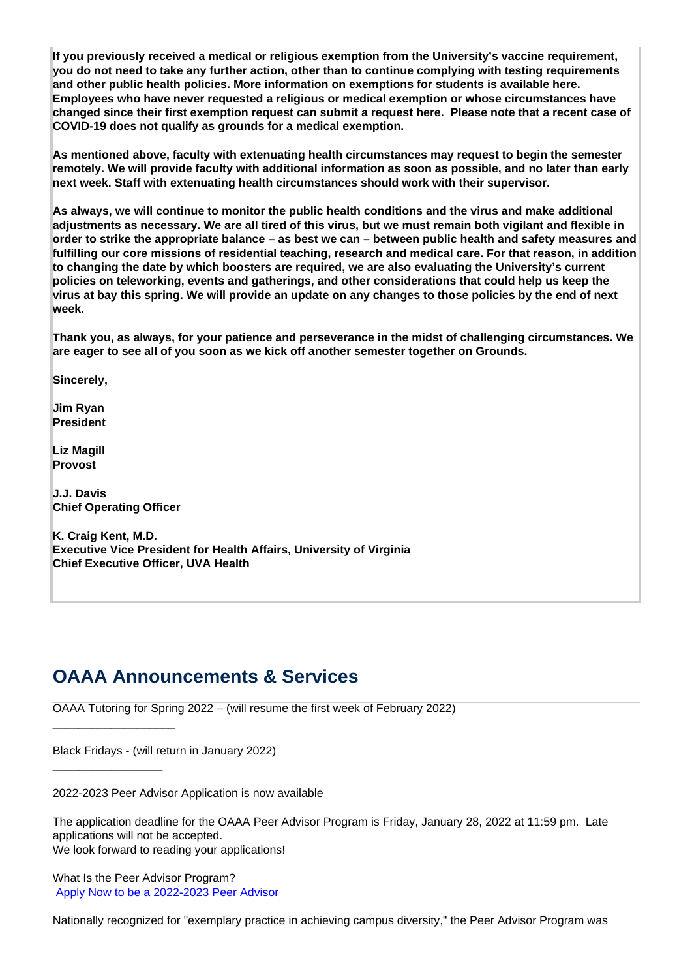**If you previously received a medical or religious exemption from the University's vaccine requirement, you do not need to take any further action, other than to continue complying with testing requirements and other public health policies. More information on exemptions for students is available here. Employees who have never requested a religious or medical exemption or whose circumstances have changed since their first exemption request can submit a request here. Please note that a recent case of COVID-19 does not qualify as grounds for a medical exemption.**

**As mentioned above, faculty with extenuating health circumstances may request to begin the semester remotely. We will provide faculty with additional information as soon as possible, and no later than early next week. Staff with extenuating health circumstances should work with their supervisor.**

**As always, we will continue to monitor the public health conditions and the virus and make additional adjustments as necessary. We are all tired of this virus, but we must remain both vigilant and flexible in order to strike the appropriate balance – as best we can – between public health and safety measures and fulfilling our core missions of residential teaching, research and medical care. For that reason, in addition to changing the date by which boosters are required, we are also evaluating the University's current policies on teleworking, events and gatherings, and other considerations that could help us keep the virus at bay this spring. We will provide an update on any changes to those policies by the end of next week.**

**Thank you, as always, for your patience and perseverance in the midst of challenging circumstances. We are eager to see all of you soon as we kick off another semester together on Grounds.**

**Sincerely,**

**Jim Ryan President**

**Liz Magill Provost**

**J.J. Davis Chief Operating Officer** 

\_\_\_\_\_\_\_\_\_\_\_\_\_\_\_\_\_\_\_

\_\_\_\_\_\_\_\_\_\_\_\_\_\_\_\_\_

**K. Craig Kent, M.D. Executive Vice President for Health Affairs, University of Virginia Chief Executive Officer, UVA Health**

### **OAAA Announcements & Services**

OAAA Tutoring for Spring 2022 – (will resume the first week of February 2022)

Black Fridays - (will return in January 2022)

2022-2023 Peer Advisor Application is now available

The application deadline for the OAAA Peer Advisor Program is Friday, January 28, 2022 at 11:59 pm. Late applications will not be accepted. We look forward to reading your applications!

What Is the Peer Advisor Program? [Apply Now to be a 2022-2023 Peer Advisor](http://oaaa.virginia.edu/peer-advisor-program-application)

Nationally recognized for "exemplary practice in achieving campus diversity," the Peer Advisor Program was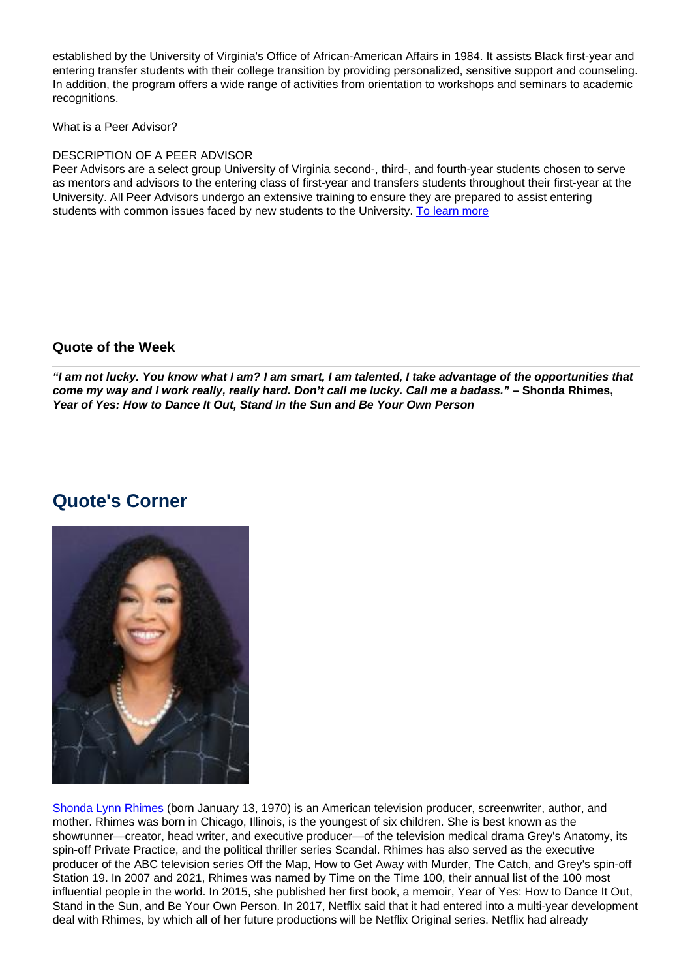established by the University of Virginia's Office of African-American Affairs in 1984. It assists Black first-year and entering transfer students with their college transition by providing personalized, sensitive support and counseling. In addition, the program offers a wide range of activities from orientation to workshops and seminars to academic recognitions.

What is a Peer Advisor?

#### DESCRIPTION OF A PEER ADVISOR

Peer Advisors are a select group University of Virginia second-, third-, and fourth-year students chosen to serve as mentors and advisors to the entering class of first-year and transfers students throughout their first-year at the University. All Peer Advisors undergo an extensive training to ensure they are prepared to assist entering students with common issues faced by new students to the University. To learn more

#### **Quote of the Week**

**"I am not lucky. You know what I am? I am smart, I am talented, I take advantage of the opportunities that come my way and I work really, really hard. Don't call me lucky. Call me a badass." – Shonda Rhimes, Year of Yes: How to Dance It Out, Stand In the Sun and Be Your Own Person**

### **Quote's Corner**



Shonda Lynn Rhimes (born January 13, 1970) is an American television producer, screenwriter, author, and mother. Rhimes was born in Chicago, Illinois, is the youngest of six children. She is best known as the showrunner—creator, head writer, and executive producer—of the television medical drama Grey's Anatomy, its spin-off Private Practice, and the political thriller series Scandal. Rhimes has also served as the executive producer of the ABC television series Off the Map, How to Get Away with Murder, The Catch, and Grey's spin-off Station 19. In 2007 and 2021, Rhimes was named by Time on the Time 100, their annual list of the 100 most influential people in the world. In 2015, she published her first book, a memoir, Year of Yes: How to Dance It Out, Stand in the Sun, and Be Your Own Person. In 2017, Netflix said that it had entered into a multi-year development deal with Rhimes, by which all of her future productions will be Netflix Original series. Netflix had already